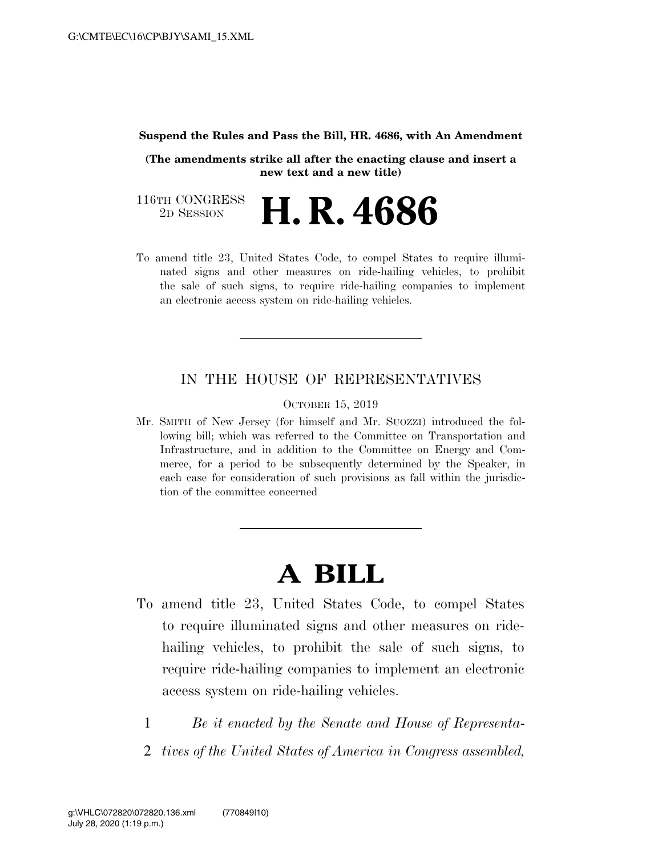#### **Suspend the Rules and Pass the Bill, HR. 4686, with An Amendment**

**(The amendments strike all after the enacting clause and insert a new text and a new title)** 

116TH CONGRESS<br>2D SESSION 2D SESSION **H. R. 4686** 

To amend title 23, United States Code, to compel States to require illuminated signs and other measures on ride-hailing vehicles, to prohibit the sale of such signs, to require ride-hailing companies to implement an electronic access system on ride-hailing vehicles.

### IN THE HOUSE OF REPRESENTATIVES

OCTOBER 15, 2019

Mr. SMITH of New Jersey (for himself and Mr. SUOZZI) introduced the following bill; which was referred to the Committee on Transportation and Infrastructure, and in addition to the Committee on Energy and Commerce, for a period to be subsequently determined by the Speaker, in each case for consideration of such provisions as fall within the jurisdiction of the committee concerned

# **A BILL**

- To amend title 23, United States Code, to compel States to require illuminated signs and other measures on ridehailing vehicles, to prohibit the sale of such signs, to require ride-hailing companies to implement an electronic access system on ride-hailing vehicles.
	- 1 *Be it enacted by the Senate and House of Representa-*
	- 2 *tives of the United States of America in Congress assembled,*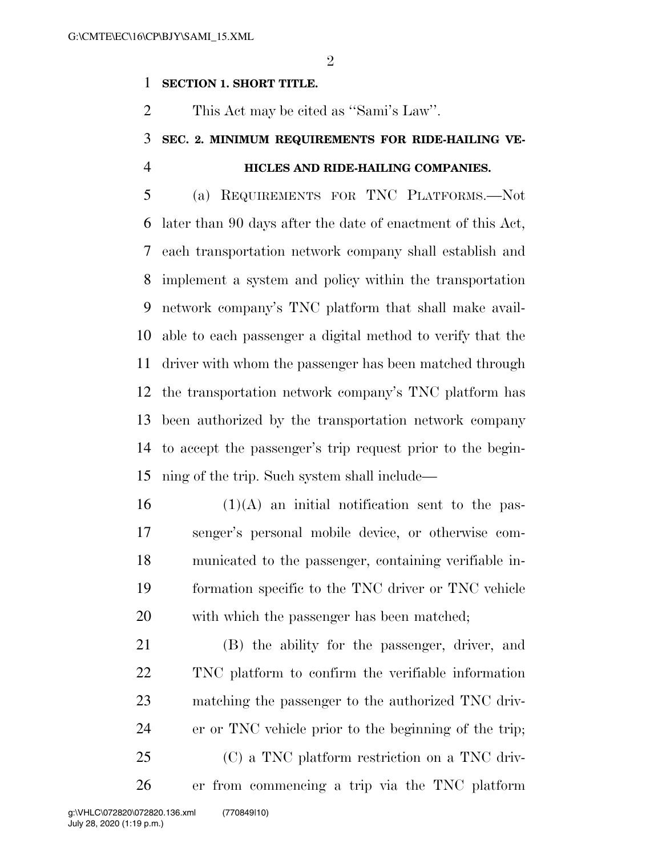### **SECTION 1. SHORT TITLE.**

This Act may be cited as ''Sami's Law''.

### **SEC. 2. MINIMUM REQUIREMENTS FOR RIDE-HAILING VE-HICLES AND RIDE-HAILING COMPANIES.**

 (a) REQUIREMENTS FOR TNC PLATFORMS.—Not later than 90 days after the date of enactment of this Act, each transportation network company shall establish and implement a system and policy within the transportation network company's TNC platform that shall make avail- able to each passenger a digital method to verify that the driver with whom the passenger has been matched through the transportation network company's TNC platform has been authorized by the transportation network company to accept the passenger's trip request prior to the begin-ning of the trip. Such system shall include—

 (1)(A) an initial notification sent to the pas- senger's personal mobile device, or otherwise com- municated to the passenger, containing verifiable in- formation specific to the TNC driver or TNC vehicle with which the passenger has been matched;

 (B) the ability for the passenger, driver, and TNC platform to confirm the verifiable information matching the passenger to the authorized TNC driv- er or TNC vehicle prior to the beginning of the trip; (C) a TNC platform restriction on a TNC driv-er from commencing a trip via the TNC platform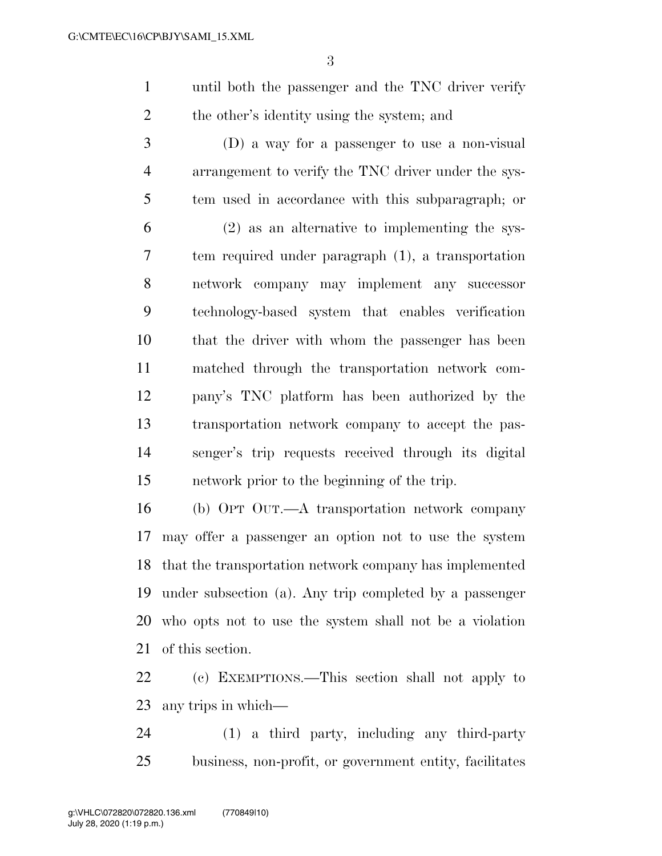until both the passenger and the TNC driver verify 2 the other's identity using the system; and

 (D) a way for a passenger to use a non-visual arrangement to verify the TNC driver under the sys- tem used in accordance with this subparagraph; or (2) as an alternative to implementing the sys- tem required under paragraph (1), a transportation network company may implement any successor technology-based system that enables verification that the driver with whom the passenger has been matched through the transportation network com- pany's TNC platform has been authorized by the transportation network company to accept the pas- senger's trip requests received through its digital network prior to the beginning of the trip.

 (b) OPT OUT.—A transportation network company may offer a passenger an option not to use the system that the transportation network company has implemented under subsection (a). Any trip completed by a passenger who opts not to use the system shall not be a violation of this section.

 (c) EXEMPTIONS.—This section shall not apply to any trips in which—

 (1) a third party, including any third-party business, non-profit, or government entity, facilitates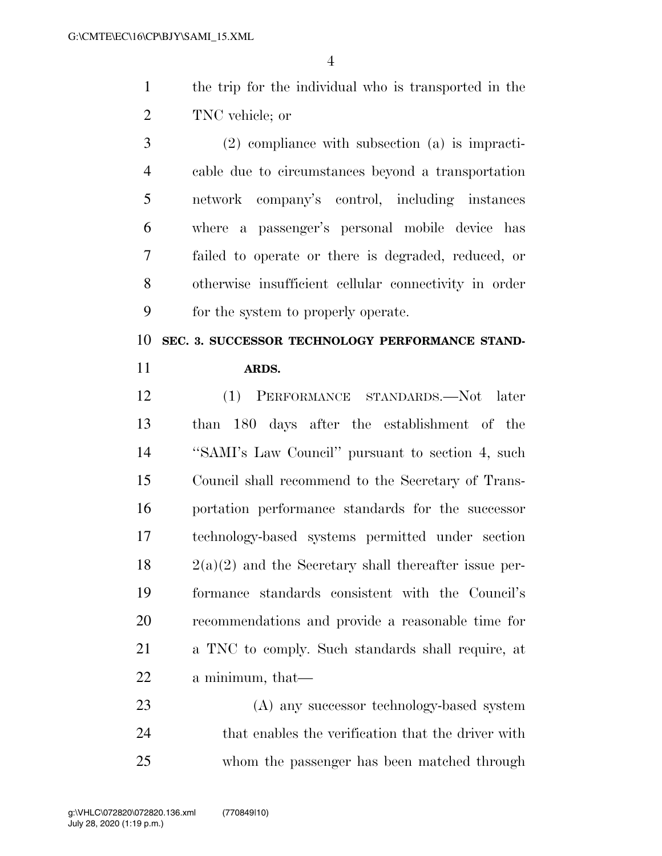- the trip for the individual who is transported in the TNC vehicle; or
- (2) compliance with subsection (a) is impracti- cable due to circumstances beyond a transportation network company's control, including instances where a passenger's personal mobile device has failed to operate or there is degraded, reduced, or otherwise insufficient cellular connectivity in order for the system to properly operate.

### **SEC. 3. SUCCESSOR TECHNOLOGY PERFORMANCE STAND-ARDS.**

 (1) PERFORMANCE STANDARDS.—Not later than 180 days after the establishment of the ''SAMI's Law Council'' pursuant to section 4, such Council shall recommend to the Secretary of Trans- portation performance standards for the successor technology-based systems permitted under section  $18 \t2(a)(2)$  and the Secretary shall thereafter issue per- formance standards consistent with the Council's recommendations and provide a reasonable time for a TNC to comply. Such standards shall require, at a minimum, that—

 (A) any successor technology-based system 24 that enables the verification that the driver with whom the passenger has been matched through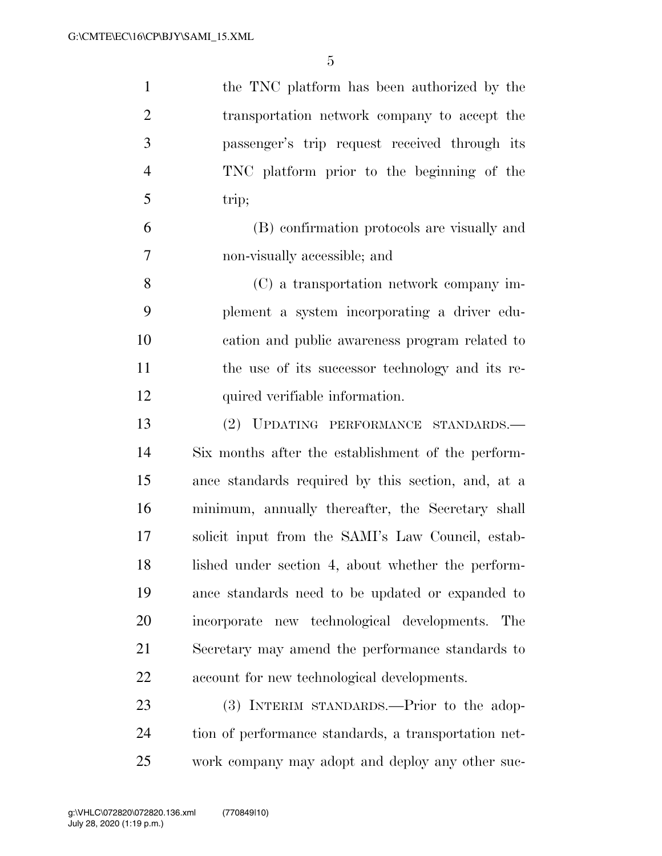the TNC platform has been authorized by the transportation network company to accept the passenger's trip request received through its TNC platform prior to the beginning of the trip;

 (B) confirmation protocols are visually and non-visually accessible; and

 (C) a transportation network company im- plement a system incorporating a driver edu- cation and public awareness program related to the use of its successor technology and its re-12 quired verifiable information.

 (2) UPDATING PERFORMANCE STANDARDS.— Six months after the establishment of the perform- ance standards required by this section, and, at a minimum, annually thereafter, the Secretary shall solicit input from the SAMI's Law Council, estab- lished under section 4, about whether the perform- ance standards need to be updated or expanded to incorporate new technological developments. The Secretary may amend the performance standards to account for new technological developments.

23 (3) INTERIM STANDARDS.—Prior to the adop- tion of performance standards, a transportation net-work company may adopt and deploy any other suc-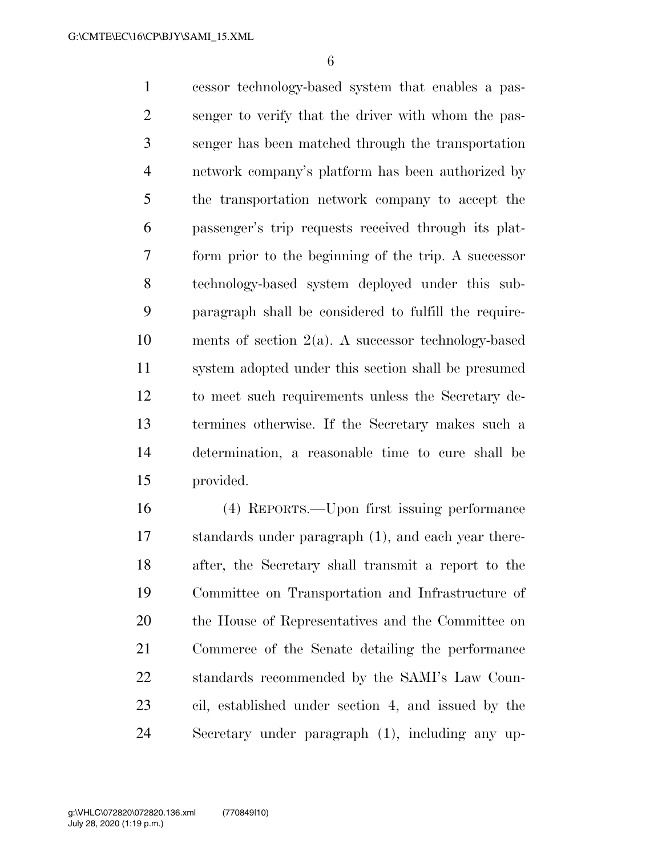cessor technology-based system that enables a pas- senger to verify that the driver with whom the pas- senger has been matched through the transportation network company's platform has been authorized by the transportation network company to accept the passenger's trip requests received through its plat- form prior to the beginning of the trip. A successor technology-based system deployed under this sub- paragraph shall be considered to fulfill the require- ments of section 2(a). A successor technology-based system adopted under this section shall be presumed to meet such requirements unless the Secretary de- termines otherwise. If the Secretary makes such a determination, a reasonable time to cure shall be provided.

 (4) REPORTS.—Upon first issuing performance standards under paragraph (1), and each year there- after, the Secretary shall transmit a report to the Committee on Transportation and Infrastructure of the House of Representatives and the Committee on Commerce of the Senate detailing the performance standards recommended by the SAMI's Law Coun- cil, established under section 4, and issued by the Secretary under paragraph (1), including any up-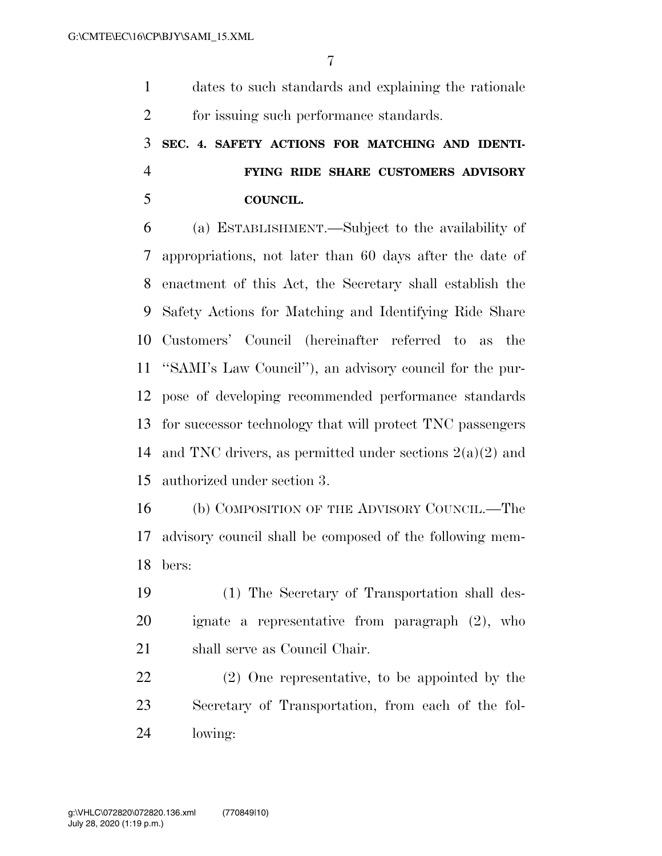dates to such standards and explaining the rationale for issuing such performance standards.

### **SEC. 4. SAFETY ACTIONS FOR MATCHING AND IDENTI- FYING RIDE SHARE CUSTOMERS ADVISORY COUNCIL.**

 (a) ESTABLISHMENT.—Subject to the availability of appropriations, not later than 60 days after the date of enactment of this Act, the Secretary shall establish the Safety Actions for Matching and Identifying Ride Share Customers' Council (hereinafter referred to as the ''SAMI's Law Council''), an advisory council for the pur- pose of developing recommended performance standards for successor technology that will protect TNC passengers 14 and TNC drivers, as permitted under sections  $2(a)(2)$  and authorized under section 3.

 (b) COMPOSITION OF THE ADVISORY COUNCIL.—The advisory council shall be composed of the following mem-bers:

 (1) The Secretary of Transportation shall des- ignate a representative from paragraph (2), who 21 shall serve as Council Chair.

 (2) One representative, to be appointed by the Secretary of Transportation, from each of the fol-lowing: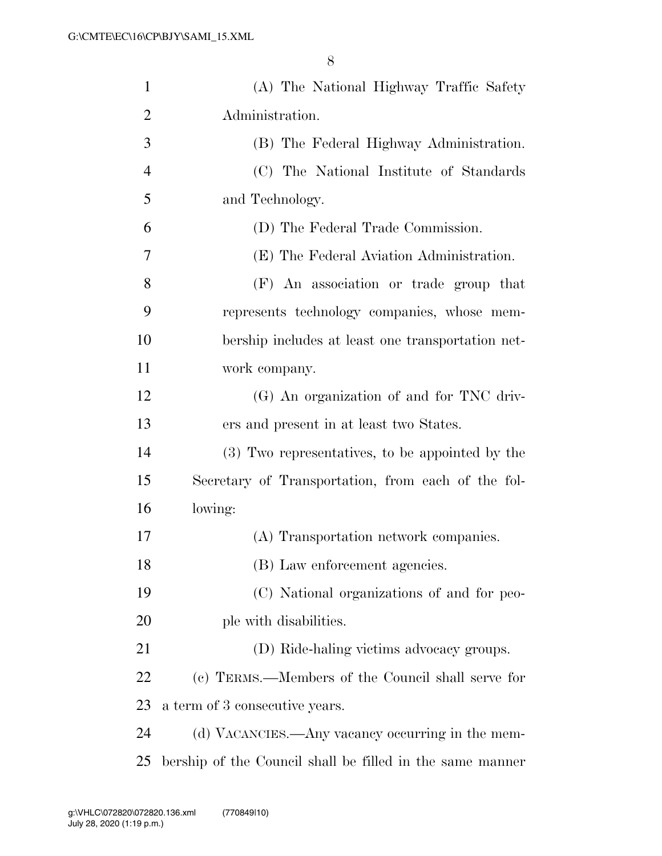| $\mathbf{1}$   | (A) The National Highway Traffic Safety                   |
|----------------|-----------------------------------------------------------|
| $\overline{2}$ | Administration.                                           |
| 3              | (B) The Federal Highway Administration.                   |
| $\overline{4}$ | (C) The National Institute of Standards                   |
| 5              | and Technology.                                           |
| 6              | (D) The Federal Trade Commission.                         |
| 7              | (E) The Federal Aviation Administration.                  |
| 8              | (F) An association or trade group that                    |
| 9              | represents technology companies, whose mem-               |
| 10             | bership includes at least one transportation net-         |
| 11             | work company.                                             |
| 12             | (G) An organization of and for TNC driv-                  |
| 13             | ers and present in at least two States.                   |
| 14             | (3) Two representatives, to be appointed by the           |
| 15             | Secretary of Transportation, from each of the fol-        |
| 16             | lowing:                                                   |
| 17             | (A) Transportation network companies.                     |
| 18             | (B) Law enforcement agencies.                             |
| 19             | (C) National organizations of and for peo-                |
| 20             | ple with disabilities.                                    |
| 21             | (D) Ride-haling victims advocacy groups.                  |
| 22             | (c) TERMS.—Members of the Council shall serve for         |
| 23             | a term of 3 consecutive years.                            |
| 24             | (d) VACANCIES.—Any vacancy occurring in the mem-          |
| 25             | bership of the Council shall be filled in the same manner |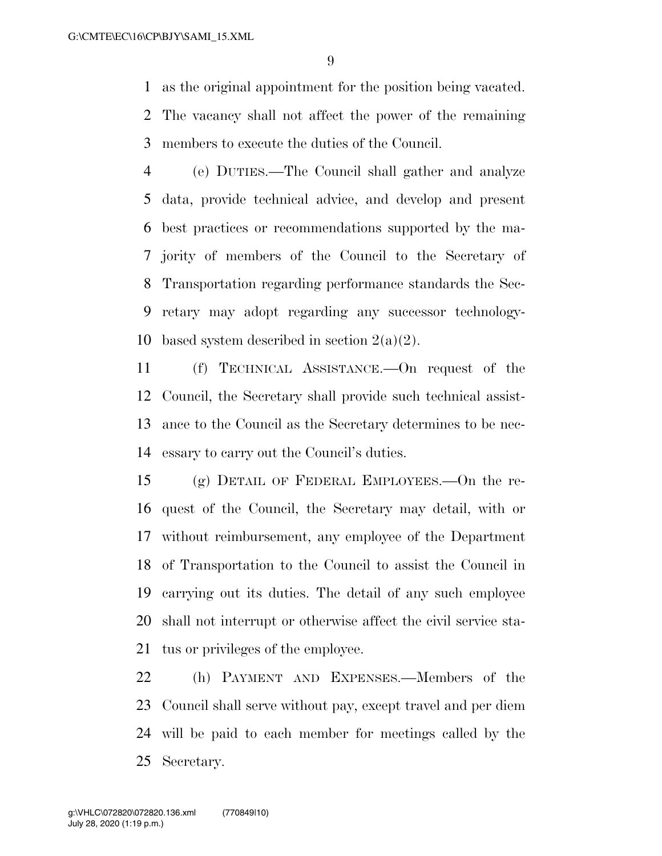as the original appointment for the position being vacated.

 The vacancy shall not affect the power of the remaining members to execute the duties of the Council.

 (e) DUTIES.—The Council shall gather and analyze data, provide technical advice, and develop and present best practices or recommendations supported by the ma- jority of members of the Council to the Secretary of Transportation regarding performance standards the Sec- retary may adopt regarding any successor technology-10 based system described in section  $2(a)(2)$ .

 (f) TECHNICAL ASSISTANCE.—On request of the Council, the Secretary shall provide such technical assist- ance to the Council as the Secretary determines to be nec-essary to carry out the Council's duties.

 (g) DETAIL OF FEDERAL EMPLOYEES.—On the re- quest of the Council, the Secretary may detail, with or without reimbursement, any employee of the Department of Transportation to the Council to assist the Council in carrying out its duties. The detail of any such employee shall not interrupt or otherwise affect the civil service sta-tus or privileges of the employee.

 (h) PAYMENT AND EXPENSES.—Members of the Council shall serve without pay, except travel and per diem will be paid to each member for meetings called by the Secretary.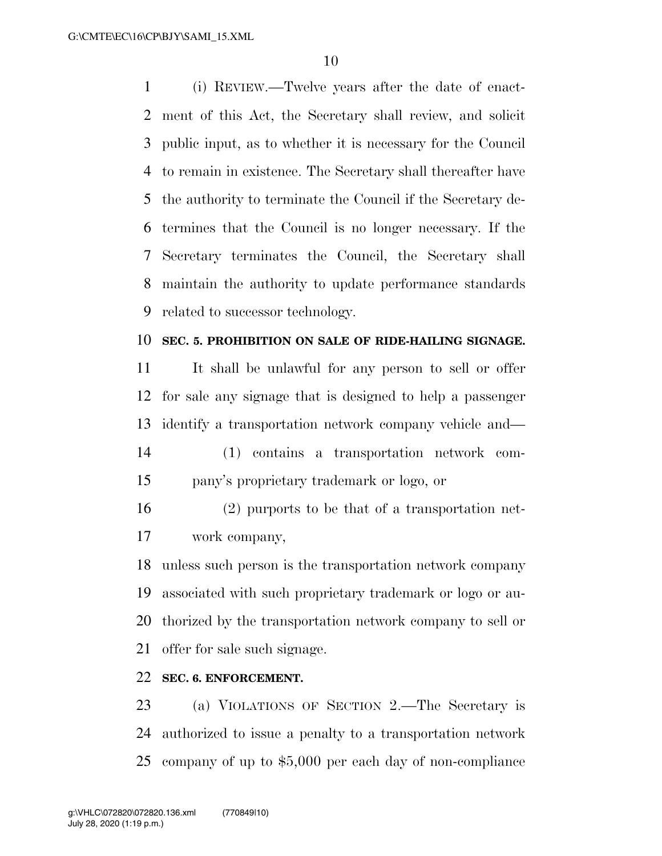(i) REVIEW.—Twelve years after the date of enact- ment of this Act, the Secretary shall review, and solicit public input, as to whether it is necessary for the Council to remain in existence. The Secretary shall thereafter have the authority to terminate the Council if the Secretary de- termines that the Council is no longer necessary. If the Secretary terminates the Council, the Secretary shall maintain the authority to update performance standards related to successor technology.

#### **SEC. 5. PROHIBITION ON SALE OF RIDE-HAILING SIGNAGE.**

 It shall be unlawful for any person to sell or offer for sale any signage that is designed to help a passenger identify a transportation network company vehicle and— (1) contains a transportation network com-

- pany's proprietary trademark or logo, or
- (2) purports to be that of a transportation net-work company,

 unless such person is the transportation network company associated with such proprietary trademark or logo or au- thorized by the transportation network company to sell or offer for sale such signage.

### **SEC. 6. ENFORCEMENT.**

 (a) VIOLATIONS OF SECTION 2.—The Secretary is authorized to issue a penalty to a transportation network company of up to \$5,000 per each day of non-compliance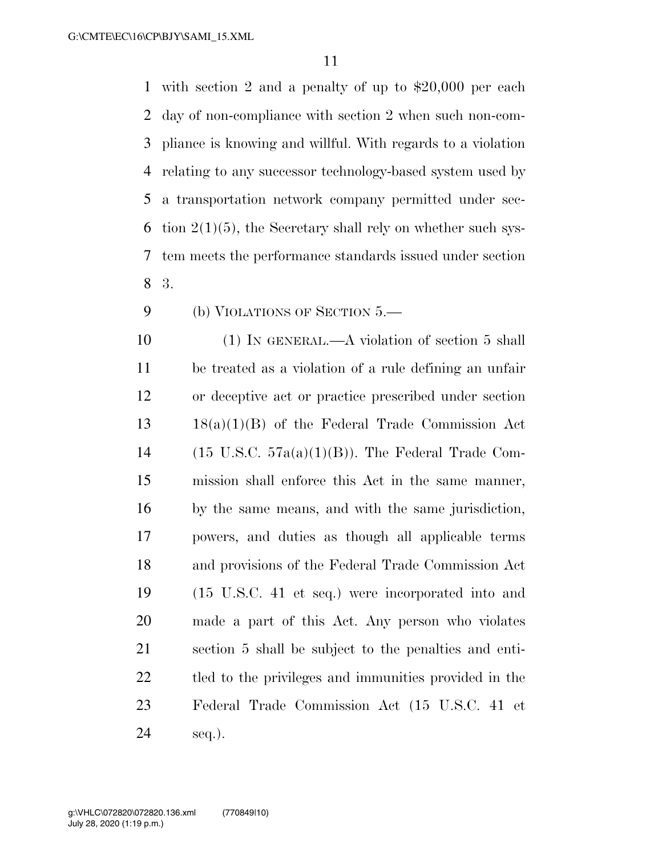with section 2 and a penalty of up to \$20,000 per each day of non-compliance with section 2 when such non-com- pliance is knowing and willful. With regards to a violation relating to any successor technology-based system used by a transportation network company permitted under sec-6 tion  $2(1)(5)$ , the Secretary shall rely on whether such sys- tem meets the performance standards issued under section 3.

9 (b) VIOLATIONS OF SECTION .

10 (1) IN GENERAL.—A violation of section 5 shall be treated as a violation of a rule defining an unfair or deceptive act or practice prescribed under section 18(a)(1)(B) of the Federal Trade Commission Act 14 (15 U.S.C.  $57a(a)(1)(B)$ ). The Federal Trade Com- mission shall enforce this Act in the same manner, by the same means, and with the same jurisdiction, powers, and duties as though all applicable terms and provisions of the Federal Trade Commission Act (15 U.S.C. 41 et seq.) were incorporated into and made a part of this Act. Any person who violates section 5 shall be subject to the penalties and enti- tled to the privileges and immunities provided in the Federal Trade Commission Act (15 U.S.C. 41 et seq.).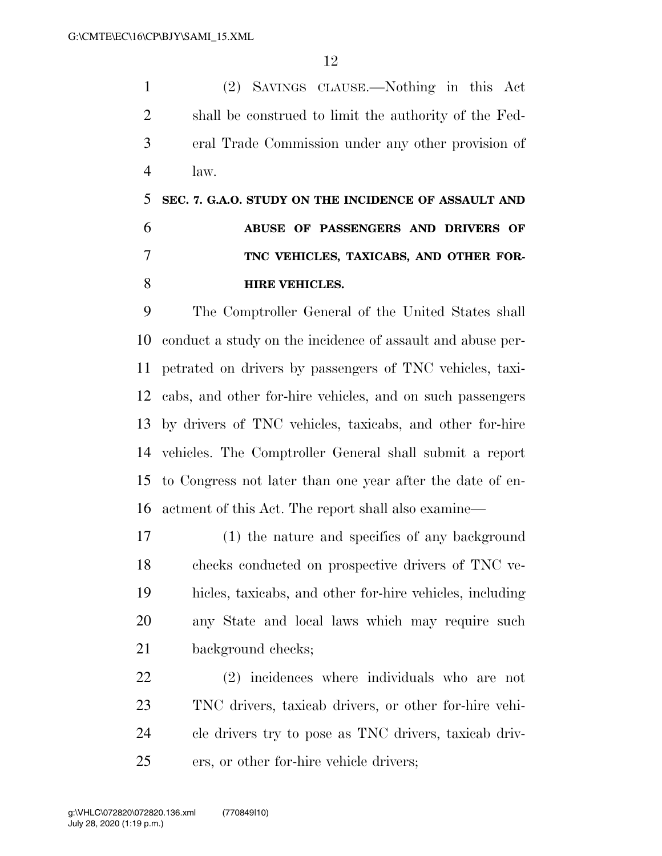(2) SAVINGS CLAUSE.—Nothing in this Act shall be construed to limit the authority of the Fed- eral Trade Commission under any other provision of law.

## **SEC. 7. G.A.O. STUDY ON THE INCIDENCE OF ASSAULT AND ABUSE OF PASSENGERS AND DRIVERS OF TNC VEHICLES, TAXICABS, AND OTHER FOR-HIRE VEHICLES.**

 The Comptroller General of the United States shall conduct a study on the incidence of assault and abuse per- petrated on drivers by passengers of TNC vehicles, taxi- cabs, and other for-hire vehicles, and on such passengers by drivers of TNC vehicles, taxicabs, and other for-hire vehicles. The Comptroller General shall submit a report to Congress not later than one year after the date of en-actment of this Act. The report shall also examine—

 (1) the nature and specifics of any background checks conducted on prospective drivers of TNC ve- hicles, taxicabs, and other for-hire vehicles, including any State and local laws which may require such background checks;

 (2) incidences where individuals who are not TNC drivers, taxicab drivers, or other for-hire vehi- cle drivers try to pose as TNC drivers, taxicab driv-ers, or other for-hire vehicle drivers;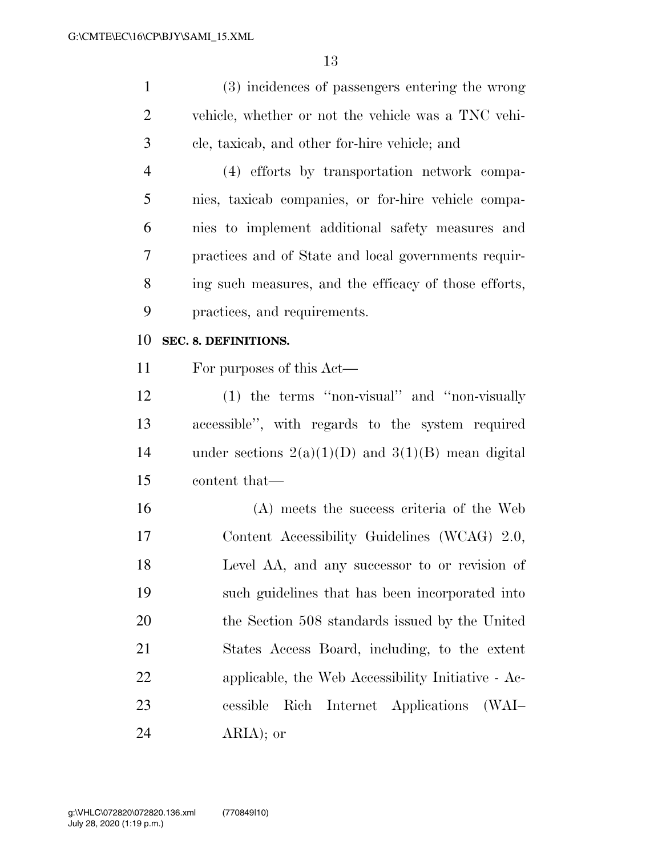| 1              | (3) incidences of passengers entering the wrong       |
|----------------|-------------------------------------------------------|
| 2              | vehicle, whether or not the vehicle was a TNC vehi-   |
| 3              | cle, taxicab, and other for-hire vehicle; and         |
| $\overline{4}$ | (4) efforts by transportation network compa-          |
| 5              | nies, taxicab companies, or for-hire vehicle compa-   |
| 6              | nies to implement additional safety measures and      |
| 7              | practices and of State and local governments requir-  |
| 8              | ing such measures, and the efficacy of those efforts, |
| 9              | practices, and requirements.                          |
| 10             | SEC. 8. DEFINITIONS.                                  |
| 11             | For purposes of this Act—                             |

 (1) the terms ''non-visual'' and ''non-visually accessible'', with regards to the system required 14 under sections  $2(a)(1)(D)$  and  $3(1)(B)$  mean digital content that—

 (A) meets the success criteria of the Web Content Accessibility Guidelines (WCAG) 2.0, Level AA, and any successor to or revision of such guidelines that has been incorporated into the Section 508 standards issued by the United States Access Board, including, to the extent applicable, the Web Accessibility Initiative - Ac- cessible Rich Internet Applications (WAI– ARIA); or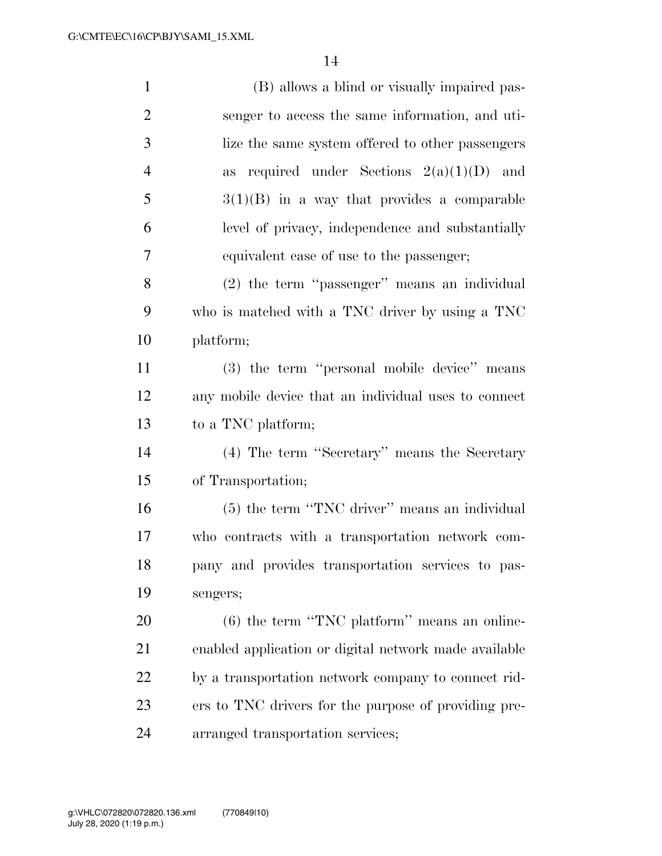| $\mathbf{1}$   | (B) allows a blind or visually impaired pas-          |
|----------------|-------------------------------------------------------|
| $\overline{2}$ | senger to access the same information, and uti-       |
| 3              | lize the same system offered to other passengers      |
| $\overline{4}$ | required under Sections $2(a)(1)(D)$ and<br>as        |
| 5              | $3(1)(B)$ in a way that provides a comparable         |
| 6              | level of privacy, independence and substantially      |
| 7              | equivalent ease of use to the passenger;              |
| 8              | (2) the term "passenger" means an individual          |
| 9              | who is matched with a TNC driver by using a TNC       |
| 10             | platform;                                             |
| 11             | (3) the term "personal mobile device" means           |
| 12             | any mobile device that an individual uses to connect  |
| 13             | to a TNC platform;                                    |
| 14             | (4) The term "Secretary" means the Secretary          |
| 15             | of Transportation;                                    |
| 16             | (5) the term "TNC driver" means an individual         |
| 17             | who contracts with a transportation network com-      |
| 18             | pany and provides transportation services to pas-     |
| 19             | sengers;                                              |
| 20             | $(6)$ the term "TNC platform" means an online-        |
| 21             | enabled application or digital network made available |
| 22             | by a transportation network company to connect rid-   |
| 23             | ers to TNC drivers for the purpose of providing pre-  |
| 24             | arranged transportation services;                     |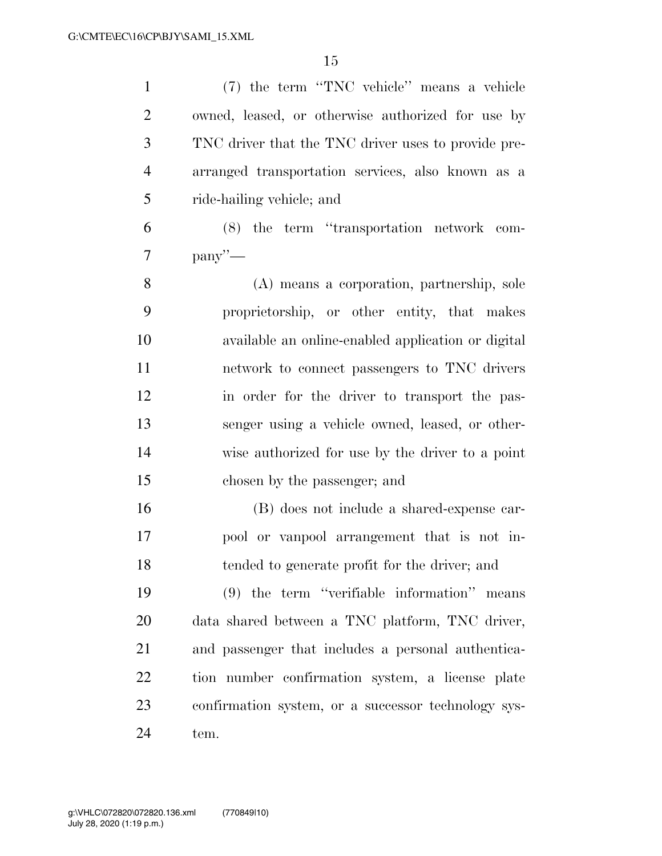(7) the term ''TNC vehicle'' means a vehicle owned, leased, or otherwise authorized for use by TNC driver that the TNC driver uses to provide pre- arranged transportation services, also known as a ride-hailing vehicle; and

 (8) the term ''transportation network com- $7 \qquad \text{panv}'' \rightarrow$ 

 (A) means a corporation, partnership, sole proprietorship, or other entity, that makes available an online-enabled application or digital network to connect passengers to TNC drivers in order for the driver to transport the pas- senger using a vehicle owned, leased, or other- wise authorized for use by the driver to a point chosen by the passenger; and

 (B) does not include a shared-expense car- pool or vanpool arrangement that is not in-tended to generate profit for the driver; and

 (9) the term ''verifiable information'' means data shared between a TNC platform, TNC driver, and passenger that includes a personal authentica- tion number confirmation system, a license plate confirmation system, or a successor technology sys-tem.